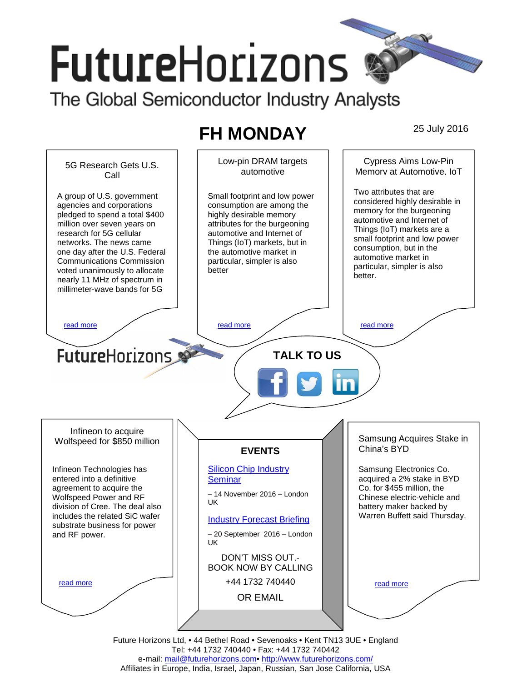# **FutureHorizons**

The Global Semiconductor Industry Analysts

## **FH MONDAY** 25 July 2016



e-mail: mail@futurehorizons.com• http://www.futurehorizons.com/ Affiliates in Europe, India, Israel, Japan, Russian, San Jose California, USA